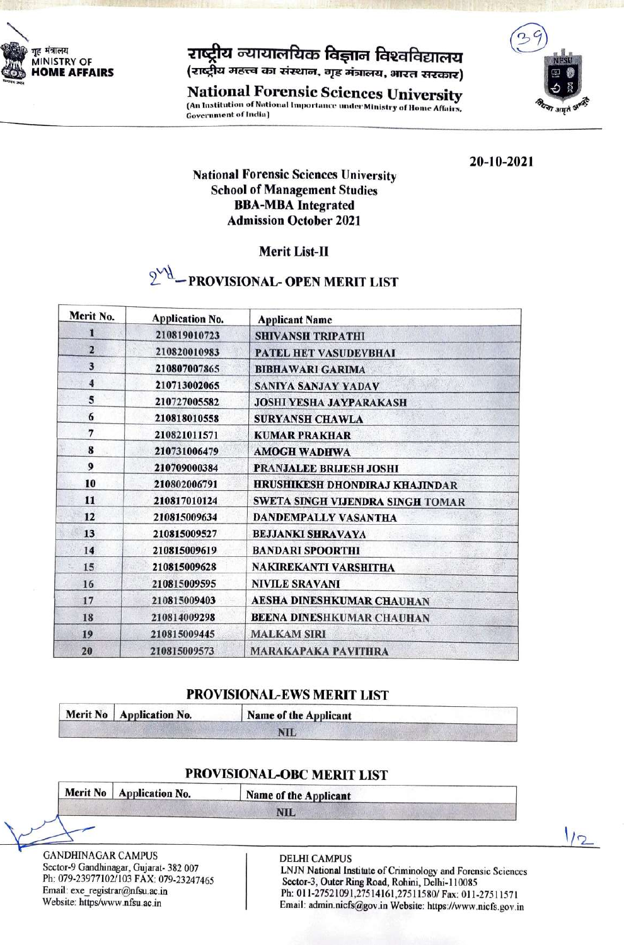

# राष्ट्रीय न्यायालयिक विज्ञान विश्वविद्यालय

(राष्ट्रीय महत्त्व का संस्थान, गृह मंत्रालय, भारत सरकार)

**National Forensic Sciences University** (An Institution of National Importance under Ministry of Home Affairs, **Government of India**)



20-10-2021

## **National Forensic Sciences University School of Management Studies BBA-MBA** Integrated **Admission October 2021**

# Merit List-II

#### $\delta_{\Lambda}q$ - PROVISIONAL- OPEN MERIT LIST

| Merit No.               | <b>Application No.</b> | <b>Applicant Name</b>                 |
|-------------------------|------------------------|---------------------------------------|
| 1                       | 210819010723           | <b>SHIVANSH TRIPATHI</b>              |
| $\overline{2}$          | 210820010983           | <b>PATEL HET VASUDEVBHAI</b>          |
| 3                       | 210807007865           | <b>BIBHAWARI GARIMA</b>               |
| $\overline{\mathbf{4}}$ | 210713002065           | <b>SANIYA SANJAY YADAV</b>            |
| 5                       | 210727005582           | <b>JOSHI YESHA JAYPARAKASH</b>        |
| 6                       | 210818010558           | <b>SURYANSH CHAWLA</b>                |
| 7                       | 210821011571           | <b>KUMAR PRAKHAR</b>                  |
| 8                       | 210731006479           | <b>AMOGH WADHWA</b>                   |
| 9                       | 210709000384           | <b>PRANJALEE BRIJESH JOSHI</b>        |
| 10                      | 210802006791           | <b>HRUSHIKESH DHONDIRAJ KHAJINDAR</b> |
| 11                      | 210817010124           | SWETA SINGH VIJENDRA SINGH TOMAR      |
| 12                      | 210815009634           | <b>DANDEMPALLY VASANTHA</b>           |
| 13                      | 210815009527           | <b>BEJJANKI SHRAVAYA</b>              |
| 14                      | 210815009619           | <b>BANDARI SPOORTHI</b>               |
| 15                      | 210815009628           | NAKIREKANTI VARSHITHA                 |
| 16                      | 210815009595           | <b>NIVILE SRAVANI</b>                 |
| 17                      | 210815009403           | <b>AESHA DINESHKUMAR CHAUHAN</b>      |
| 18                      | 210814009298           | <b>BEENA DINESHKUMAR CHAUHAN</b>      |
| 19                      | 210815009445           | <b>MALKAM SIRI</b>                    |
| 20                      | 210815009573           | <b>MARAKAPAKA PAVITHRA</b>            |

### PROVISIONAL-EWS MERIT LIST

| Merit No   Application No. | Name of the Applicant |  |  |
|----------------------------|-----------------------|--|--|
|                            | NIE                   |  |  |

# PROVISIONAL-OBC MERIT LIST

Merit No | Application No.

Name of the Applicant

**NIL** 

**GANDHINAGAR CAMPUS** Sector-9 Gandhinagar, Gujarat- 382 007 Ph: 079-23977102/103 FAX: 079-23247465 Email: exe\_registrar@nfsu.ac.in Website: https/www.nfsu.ac.in

#### **DELHI CAMPUS**

LNJN National Institute of Criminology and Forensic Sciences Sector-3, Outer Ring Road, Rohini, Delhi-110085 Ph: 011-27521091,27514161,27511580/ Fax: 011-27511571 Email: admin.nicfs@gov.in Website: https://www.nicfs.gov.in

 $1/2$